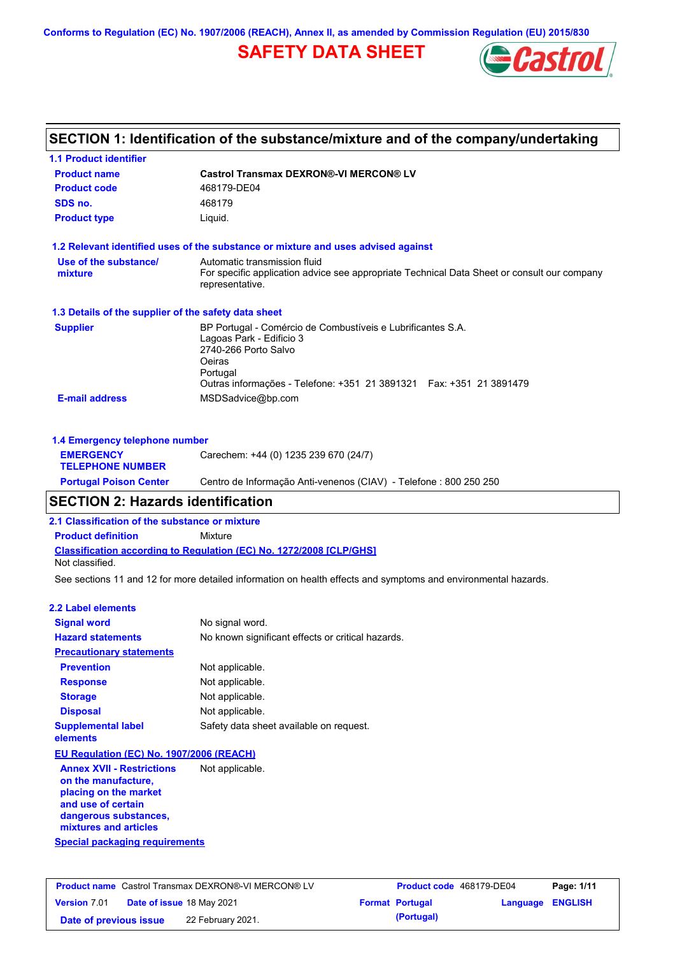**Conforms to Regulation (EC) No. 1907/2006 (REACH), Annex II, as amended by Commission Regulation (EU) 2015/830**

## **SAFETY DATA SHEET**



### **SECTION 1: Identification of the substance/mixture and of the company/undertaking**

| <b>1.1 Product identifier</b>                        |                                                                                                                                                                                                               |
|------------------------------------------------------|---------------------------------------------------------------------------------------------------------------------------------------------------------------------------------------------------------------|
| <b>Product name</b>                                  | <b>Castrol Transmax DEXRON®-VI MERCON® LV</b>                                                                                                                                                                 |
| <b>Product code</b>                                  | 468179-DE04                                                                                                                                                                                                   |
| SDS no.                                              | 468179                                                                                                                                                                                                        |
| <b>Product type</b>                                  | Liquid.                                                                                                                                                                                                       |
|                                                      | 1.2 Relevant identified uses of the substance or mixture and uses advised against                                                                                                                             |
| Use of the substance/<br>mixture                     | Automatic transmission fluid<br>For specific application advice see appropriate Technical Data Sheet or consult our company<br>representative.                                                                |
| 1.3 Details of the supplier of the safety data sheet |                                                                                                                                                                                                               |
| <b>Supplier</b>                                      | BP Portugal - Comércio de Combustíveis e Lubrificantes S.A.<br>Lagoas Park - Edificio 3<br>2740-266 Porto Salvo<br>Oeiras<br>Portugal<br>Outras informações - Telefone: +351 21 3891321  Fax: +351 21 3891479 |
| <b>E-mail address</b>                                | MSDSadvice@bp.com                                                                                                                                                                                             |
| 1.4 Emergency telephone number                       |                                                                                                                                                                                                               |
| <b>EMERGENCY</b>                                     | Carechem: +44 (0) 1235 239 670 (24/7)                                                                                                                                                                         |

| <b>TELEPHONE NUMBER</b>       |                                                                   |
|-------------------------------|-------------------------------------------------------------------|
| <b>Portugal Poison Center</b> | Centro de Informação Anti-venenos (CIAV) - Telefone : 800 250 250 |

## **SECTION 2: Hazards identification**

**2.1 Classification of the substance or mixture**

**Classification according to Regulation (EC) No. 1272/2008 [CLP/GHS] Product definition** Mixture Not classified.

See sections 11 and 12 for more detailed information on health effects and symptoms and environmental hazards.

#### **2.2 Label elements**

| <b>Signal word</b>                       | No signal word.                                   |
|------------------------------------------|---------------------------------------------------|
| <b>Hazard statements</b>                 | No known significant effects or critical hazards. |
| <b>Precautionary statements</b>          |                                                   |
| <b>Prevention</b>                        | Not applicable.                                   |
| <b>Response</b>                          | Not applicable.                                   |
| <b>Storage</b>                           | Not applicable.                                   |
| <b>Disposal</b>                          | Not applicable.                                   |
| <b>Supplemental label</b><br>elements    | Safety data sheet available on request.           |
| EU Regulation (EC) No. 1907/2006 (REACH) |                                                   |

**Special packaging requirements Annex XVII - Restrictions on the manufacture, placing on the market and use of certain dangerous substances, mixtures and articles** Not applicable.

| <b>Product name</b> Castrol Transmax DEXRON®-VI MERCON® LV |  | Product code 468179-DE04  |  | Page: 1/11             |                         |  |
|------------------------------------------------------------|--|---------------------------|--|------------------------|-------------------------|--|
| <b>Version 7.01</b>                                        |  | Date of issue 18 May 2021 |  | <b>Format Portugal</b> | <b>Language ENGLISH</b> |  |
| Date of previous issue                                     |  | 22 February 2021.         |  | (Portugal)             |                         |  |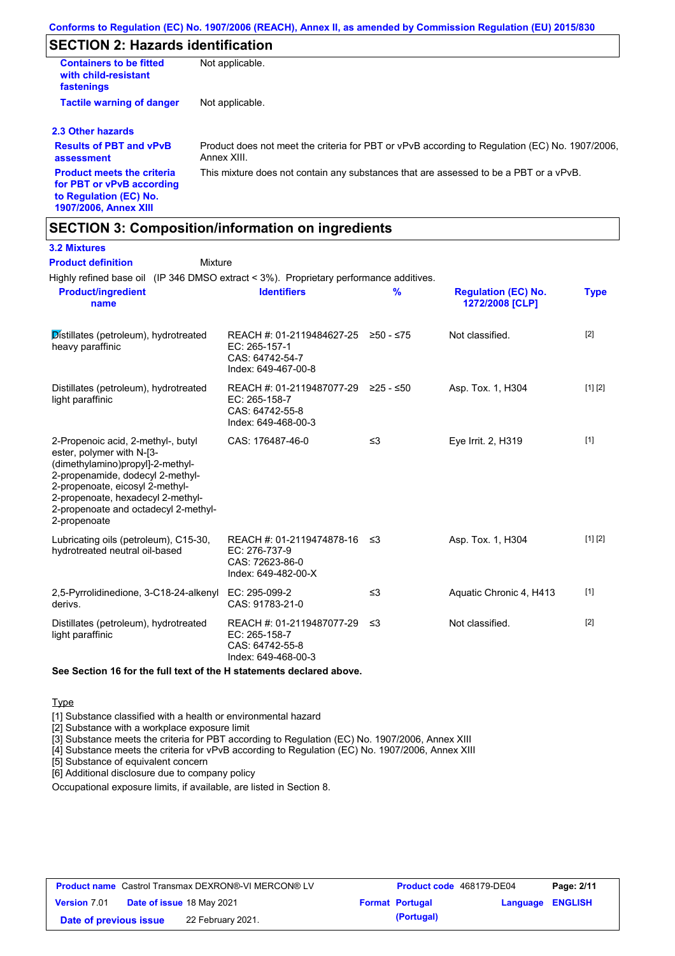### **SECTION 2: Hazards identification**

| <b>Containers to be fitted</b><br>with child-resistant<br>fastenings                                                     | Not applicable.                                                                                               |
|--------------------------------------------------------------------------------------------------------------------------|---------------------------------------------------------------------------------------------------------------|
| <b>Tactile warning of danger</b>                                                                                         | Not applicable.                                                                                               |
| 2.3 Other hazards                                                                                                        |                                                                                                               |
| <b>Results of PBT and vPvB</b><br>assessment                                                                             | Product does not meet the criteria for PBT or vPvB according to Regulation (EC) No. 1907/2006.<br>Annex XIII. |
| <b>Product meets the criteria</b><br>for PBT or vPvB according<br>to Regulation (EC) No.<br><b>1907/2006, Annex XIII</b> | This mixture does not contain any substances that are assessed to be a PBT or a vPvB.                         |

### **SECTION 3: Composition/information on ingredients**

### **3.2 Mixtures**

| <b>Product definition</b><br>Mixture<br>Highly refined base oil (IP 346 DMSO extract < 3%). Proprietary performance additives.                                                                                                                                          |                                                                                                |               |                                               |             |
|-------------------------------------------------------------------------------------------------------------------------------------------------------------------------------------------------------------------------------------------------------------------------|------------------------------------------------------------------------------------------------|---------------|-----------------------------------------------|-------------|
| <b>Product/ingredient</b><br>name                                                                                                                                                                                                                                       | <b>Identifiers</b>                                                                             | $\frac{9}{6}$ | <b>Regulation (EC) No.</b><br>1272/2008 [CLP] | <b>Type</b> |
| Distillates (petroleum), hydrotreated<br>heavy paraffinic                                                                                                                                                                                                               | REACH #: 01-2119484627-25 ≥50 - ≤75<br>EC: 265-157-1<br>CAS: 64742-54-7<br>Index: 649-467-00-8 |               | Not classified.                               | $[2]$       |
| Distillates (petroleum), hydrotreated<br>light paraffinic                                                                                                                                                                                                               | REACH #: 01-2119487077-29<br>EC: 265-158-7<br>CAS: 64742-55-8<br>Index: 649-468-00-3           | ≥25 - ≤50     | Asp. Tox. 1, H304                             | [1] [2]     |
| 2-Propenoic acid, 2-methyl-, butyl<br>ester, polymer with N-[3-<br>(dimethylamino)propyl]-2-methyl-<br>2-propenamide, dodecyl 2-methyl-<br>2-propenoate, eicosyl 2-methyl-<br>2-propenoate, hexadecyl 2-methyl-<br>2-propenoate and octadecyl 2-methyl-<br>2-propenoate | CAS: 176487-46-0                                                                               | $\leq$ 3      | Eye Irrit. 2, H319                            | $[1]$       |
| Lubricating oils (petroleum), C15-30,<br>hydrotreated neutral oil-based                                                                                                                                                                                                 | REACH #: 01-2119474878-16<br>EC: 276-737-9<br>CAS: 72623-86-0<br>Index: 649-482-00-X           | ≤3            | Asp. Tox. 1, H304                             | [1] [2]     |
| 2,5-Pyrrolidinedione, 3-C18-24-alkenyl<br>derivs.                                                                                                                                                                                                                       | EC: 295-099-2<br>CAS: 91783-21-0                                                               | $\leq$ 3      | Aquatic Chronic 4, H413                       | $[1]$       |
| Distillates (petroleum), hydrotreated<br>light paraffinic                                                                                                                                                                                                               | REACH #: 01-2119487077-29<br>EC: 265-158-7<br>CAS: 64742-55-8<br>Index: 649-468-00-3           | ≤3            | Not classified.                               | $[2]$       |

#### **See Section 16 for the full text of the H statements declared above.**

#### **Type**

[1] Substance classified with a health or environmental hazard

[2] Substance with a workplace exposure limit

[3] Substance meets the criteria for PBT according to Regulation (EC) No. 1907/2006, Annex XIII

[4] Substance meets the criteria for vPvB according to Regulation (EC) No. 1907/2006, Annex XIII

[5] Substance of equivalent concern

[6] Additional disclosure due to company policy

Occupational exposure limits, if available, are listed in Section 8.

|                        | <b>Product name</b> Castrol Transmax DEXRON®-VI MERCON® LV | <b>Product code</b> 468179-DE04 |                         | Page: 2/11 |
|------------------------|------------------------------------------------------------|---------------------------------|-------------------------|------------|
| <b>Version</b> 7.01    | Date of issue 18 May 2021                                  | <b>Format Portugal</b>          | <b>Language ENGLISH</b> |            |
| Date of previous issue | 22 February 2021.                                          | (Portugal)                      |                         |            |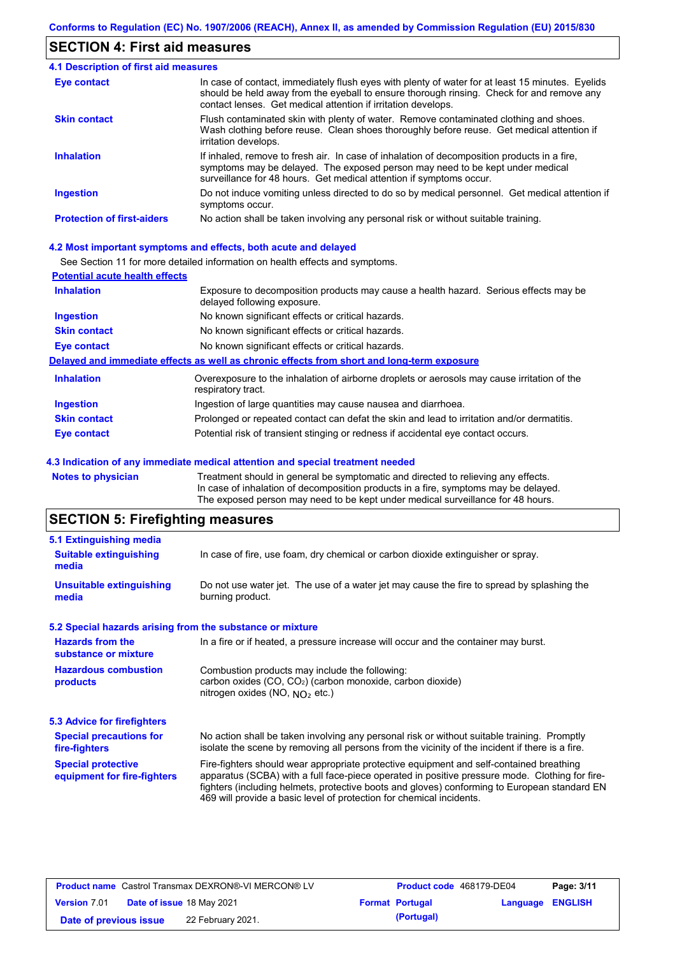### **SECTION 4: First aid measures**

| <b>4.1 Description of first aid measures</b> |                                                                                                                                                                                                                                                                |
|----------------------------------------------|----------------------------------------------------------------------------------------------------------------------------------------------------------------------------------------------------------------------------------------------------------------|
| <b>Eye contact</b>                           | In case of contact, immediately flush eyes with plenty of water for at least 15 minutes. Eyelids<br>should be held away from the eyeball to ensure thorough rinsing. Check for and remove any<br>contact lenses. Get medical attention if irritation develops. |
| <b>Skin contact</b>                          | Flush contaminated skin with plenty of water. Remove contaminated clothing and shoes.<br>Wash clothing before reuse. Clean shoes thoroughly before reuse. Get medical attention if<br>irritation develops.                                                     |
| <b>Inhalation</b>                            | If inhaled, remove to fresh air. In case of inhalation of decomposition products in a fire,<br>symptoms may be delayed. The exposed person may need to be kept under medical<br>surveillance for 48 hours. Get medical attention if symptoms occur.            |
| <b>Ingestion</b>                             | Do not induce vomiting unless directed to do so by medical personnel. Get medical attention if<br>symptoms occur.                                                                                                                                              |
| <b>Protection of first-aiders</b>            | No action shall be taken involving any personal risk or without suitable training.                                                                                                                                                                             |

#### **4.2 Most important symptoms and effects, both acute and delayed**

See Section 11 for more detailed information on health effects and symptoms.

| <b>Potential acute health effects</b> |                                                                                                                     |
|---------------------------------------|---------------------------------------------------------------------------------------------------------------------|
| <b>Inhalation</b>                     | Exposure to decomposition products may cause a health hazard. Serious effects may be<br>delayed following exposure. |
| <b>Ingestion</b>                      | No known significant effects or critical hazards.                                                                   |
| <b>Skin contact</b>                   | No known significant effects or critical hazards.                                                                   |
| Eye contact                           | No known significant effects or critical hazards.                                                                   |
|                                       | Delayed and immediate effects as well as chronic effects from short and long-term exposure                          |
| <b>Inhalation</b>                     | Overexposure to the inhalation of airborne droplets or aerosols may cause irritation of the<br>respiratory tract.   |
| <b>Ingestion</b>                      | Ingestion of large quantities may cause nausea and diarrhoea.                                                       |
| <b>Skin contact</b>                   | Prolonged or repeated contact can defat the skin and lead to irritation and/or dermatitis.                          |
| Eye contact                           | Potential risk of transient stinging or redness if accidental eye contact occurs.                                   |
|                                       |                                                                                                                     |

#### **4.3 Indication of any immediate medical attention and special treatment needed**

**Notes to physician** Treatment should in general be symptomatic and directed to relieving any effects. In case of inhalation of decomposition products in a fire, symptoms may be delayed. The exposed person may need to be kept under medical surveillance for 48 hours.

## **SECTION 5: Firefighting measures**

| 5.1 Extinguishing media                                                                                                    |                                                                                                                                                                                                                                                                                                                                                                   |  |  |  |  |
|----------------------------------------------------------------------------------------------------------------------------|-------------------------------------------------------------------------------------------------------------------------------------------------------------------------------------------------------------------------------------------------------------------------------------------------------------------------------------------------------------------|--|--|--|--|
| In case of fire, use foam, dry chemical or carbon dioxide extinguisher or spray.<br><b>Suitable extinguishing</b><br>media |                                                                                                                                                                                                                                                                                                                                                                   |  |  |  |  |
| <b>Unsuitable extinguishing</b><br>media                                                                                   | Do not use water jet. The use of a water jet may cause the fire to spread by splashing the<br>burning product.                                                                                                                                                                                                                                                    |  |  |  |  |
| 5.2 Special hazards arising from the substance or mixture                                                                  |                                                                                                                                                                                                                                                                                                                                                                   |  |  |  |  |
| <b>Hazards from the</b><br>substance or mixture                                                                            | In a fire or if heated, a pressure increase will occur and the container may burst.                                                                                                                                                                                                                                                                               |  |  |  |  |
| <b>Hazardous combustion</b><br>products                                                                                    | Combustion products may include the following:<br>carbon oxides (CO, CO <sub>2</sub> ) (carbon monoxide, carbon dioxide)<br>nitrogen oxides (NO, $NO2$ etc.)                                                                                                                                                                                                      |  |  |  |  |
| 5.3 Advice for firefighters                                                                                                |                                                                                                                                                                                                                                                                                                                                                                   |  |  |  |  |
| <b>Special precautions for</b><br>fire-fighters                                                                            | No action shall be taken involving any personal risk or without suitable training. Promptly<br>isolate the scene by removing all persons from the vicinity of the incident if there is a fire.                                                                                                                                                                    |  |  |  |  |
| <b>Special protective</b><br>equipment for fire-fighters                                                                   | Fire-fighters should wear appropriate protective equipment and self-contained breathing<br>apparatus (SCBA) with a full face-piece operated in positive pressure mode. Clothing for fire-<br>fighters (including helmets, protective boots and gloves) conforming to European standard EN<br>469 will provide a basic level of protection for chemical incidents. |  |  |  |  |

|                        | <b>Product name</b> Castrol Transmax DEXRON®-VI MERCON® LV | <b>Product code</b> 468179-DE04 |                  | Page: 3/11 |
|------------------------|------------------------------------------------------------|---------------------------------|------------------|------------|
| <b>Version 7.01</b>    | <b>Date of issue 18 May 2021</b>                           | <b>Format Portugal</b>          | Language ENGLISH |            |
| Date of previous issue | 22 February 2021.                                          | (Portugal)                      |                  |            |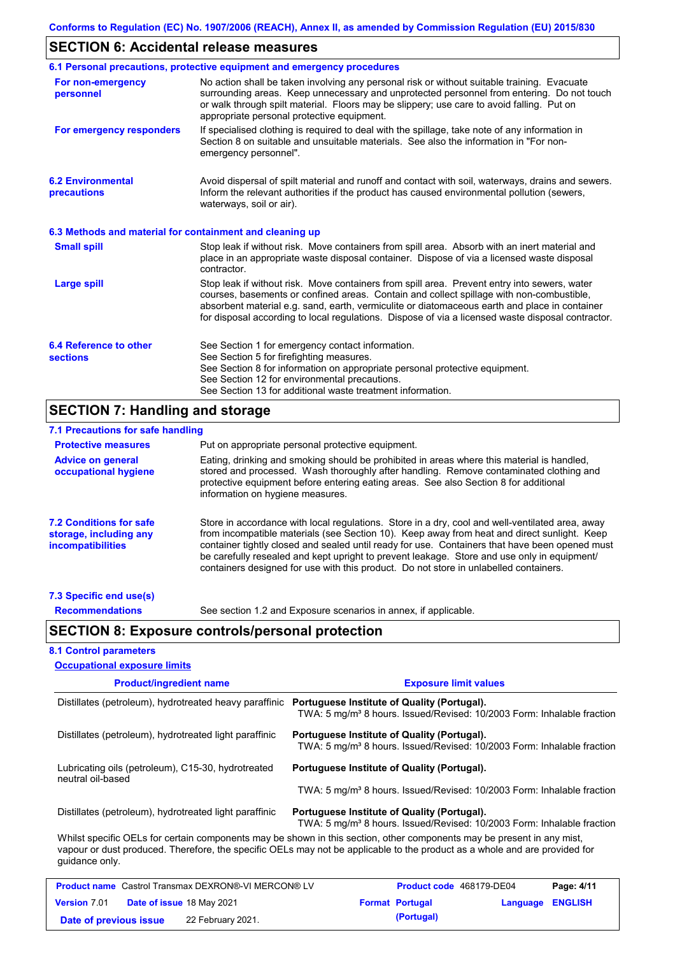### **SECTION 6: Accidental release measures**

|                                                          | 6.1 Personal precautions, protective equipment and emergency procedures                                                                                                                                                                                                                                                                                                                        |
|----------------------------------------------------------|------------------------------------------------------------------------------------------------------------------------------------------------------------------------------------------------------------------------------------------------------------------------------------------------------------------------------------------------------------------------------------------------|
| For non-emergency<br>personnel                           | No action shall be taken involving any personal risk or without suitable training. Evacuate<br>surrounding areas. Keep unnecessary and unprotected personnel from entering. Do not touch<br>or walk through spilt material. Floors may be slippery; use care to avoid falling. Put on<br>appropriate personal protective equipment.                                                            |
| For emergency responders                                 | If specialised clothing is required to deal with the spillage, take note of any information in<br>Section 8 on suitable and unsuitable materials. See also the information in "For non-<br>emergency personnel".                                                                                                                                                                               |
| <b>6.2 Environmental</b><br>precautions                  | Avoid dispersal of spilt material and runoff and contact with soil, waterways, drains and sewers.<br>Inform the relevant authorities if the product has caused environmental pollution (sewers,<br>waterways, soil or air).                                                                                                                                                                    |
| 6.3 Methods and material for containment and cleaning up |                                                                                                                                                                                                                                                                                                                                                                                                |
| <b>Small spill</b>                                       | Stop leak if without risk. Move containers from spill area. Absorb with an inert material and<br>place in an appropriate waste disposal container. Dispose of via a licensed waste disposal<br>contractor.                                                                                                                                                                                     |
| <b>Large spill</b>                                       | Stop leak if without risk. Move containers from spill area. Prevent entry into sewers, water<br>courses, basements or confined areas. Contain and collect spillage with non-combustible,<br>absorbent material e.g. sand, earth, vermiculite or diatomaceous earth and place in container<br>for disposal according to local regulations. Dispose of via a licensed waste disposal contractor. |
| 6.4 Reference to other<br><b>sections</b>                | See Section 1 for emergency contact information.<br>See Section 5 for firefighting measures.<br>See Section 8 for information on appropriate personal protective equipment.<br>See Section 12 for environmental precautions.<br>See Section 13 for additional waste treatment information.                                                                                                     |

## **SECTION 7: Handling and storage**

| <b>Protective measures</b>                                                    | Put on appropriate personal protective equipment.                                                                                                                                                                                                                                                                                                                                                                                                                                        |
|-------------------------------------------------------------------------------|------------------------------------------------------------------------------------------------------------------------------------------------------------------------------------------------------------------------------------------------------------------------------------------------------------------------------------------------------------------------------------------------------------------------------------------------------------------------------------------|
| <b>Advice on general</b><br>occupational hygiene                              | Eating, drinking and smoking should be prohibited in areas where this material is handled.<br>stored and processed. Wash thoroughly after handling. Remove contaminated clothing and<br>protective equipment before entering eating areas. See also Section 8 for additional<br>information on hygiene measures.                                                                                                                                                                         |
| <b>7.2 Conditions for safe</b><br>storage, including any<br>incompatibilities | Store in accordance with local regulations. Store in a dry, cool and well-ventilated area, away<br>from incompatible materials (see Section 10). Keep away from heat and direct sunlight. Keep<br>container tightly closed and sealed until ready for use. Containers that have been opened must<br>be carefully resealed and kept upright to prevent leakage. Store and use only in equipment/<br>containers designed for use with this product. Do not store in unlabelled containers. |

**Recommendations**

See section 1.2 and Exposure scenarios in annex, if applicable.

### **SECTION 8: Exposure controls/personal protection**

### **8.1 Control parameters**

| <b>Occupational exposure limits</b>                                     |                                                                                                                                                                                                                                                      |  |  |  |
|-------------------------------------------------------------------------|------------------------------------------------------------------------------------------------------------------------------------------------------------------------------------------------------------------------------------------------------|--|--|--|
| <b>Product/ingredient name</b>                                          | <b>Exposure limit values</b>                                                                                                                                                                                                                         |  |  |  |
| Distillates (petroleum), hydrotreated heavy paraffinic                  | Portuguese Institute of Quality (Portugal).<br>TWA: 5 mg/m <sup>3</sup> 8 hours. Issued/Revised: 10/2003 Form: Inhalable fraction                                                                                                                    |  |  |  |
| Distillates (petroleum), hydrotreated light paraffinic                  | Portuguese Institute of Quality (Portugal).<br>TWA: 5 mg/m <sup>3</sup> 8 hours. Issued/Revised: 10/2003 Form: Inhalable fraction                                                                                                                    |  |  |  |
| Lubricating oils (petroleum), C15-30, hydrotreated<br>neutral oil-based | Portuguese Institute of Quality (Portugal).                                                                                                                                                                                                          |  |  |  |
|                                                                         | TWA: 5 mg/m <sup>3</sup> 8 hours. Issued/Revised: 10/2003 Form: Inhalable fraction                                                                                                                                                                   |  |  |  |
| Distillates (petroleum), hydrotreated light paraffinic                  | Portuguese Institute of Quality (Portugal).<br>TWA: 5 mg/m <sup>3</sup> 8 hours. Issued/Revised: 10/2003 Form: Inhalable fraction                                                                                                                    |  |  |  |
| quidance only.                                                          | Whilst specific OELs for certain components may be shown in this section, other components may be present in any mist,<br>vapour or dust produced. Therefore, the specific OELs may not be applicable to the product as a whole and are provided for |  |  |  |

|                        | <b>Product name</b> Castrol Transmax DEXRON®-VI MERCON® LV | Product code 468179-DE04 |                         | Page: 4/11 |
|------------------------|------------------------------------------------------------|--------------------------|-------------------------|------------|
| <b>Version 7.01</b>    | <b>Date of issue 18 May 2021</b>                           | <b>Format Portugal</b>   | <b>Language ENGLISH</b> |            |
| Date of previous issue | 22 February 2021.                                          | (Portugal)               |                         |            |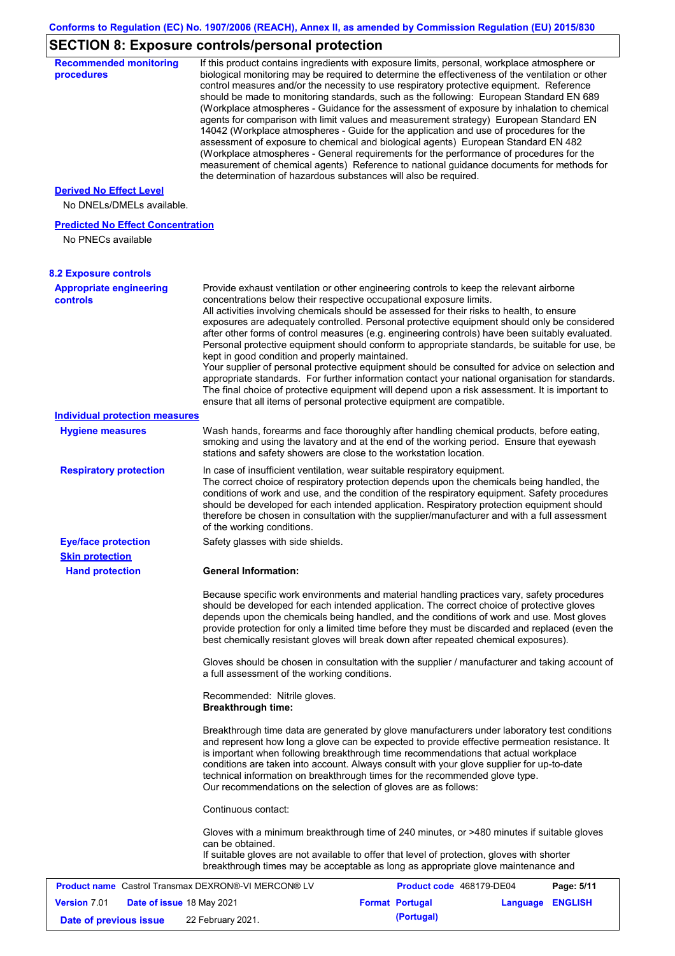## **SECTION 8: Exposure controls/personal protection**

| <b>Recommended monitoring</b><br>procedures                    | If this product contains ingredients with exposure limits, personal, workplace atmosphere or<br>biological monitoring may be required to determine the effectiveness of the ventilation or other<br>control measures and/or the necessity to use respiratory protective equipment. Reference<br>should be made to monitoring standards, such as the following: European Standard EN 689<br>(Workplace atmospheres - Guidance for the assessment of exposure by inhalation to chemical<br>agents for comparison with limit values and measurement strategy) European Standard EN<br>14042 (Workplace atmospheres - Guide for the application and use of procedures for the<br>assessment of exposure to chemical and biological agents) European Standard EN 482<br>(Workplace atmospheres - General requirements for the performance of procedures for the<br>measurement of chemical agents) Reference to national guidance documents for methods for<br>the determination of hazardous substances will also be required. |
|----------------------------------------------------------------|----------------------------------------------------------------------------------------------------------------------------------------------------------------------------------------------------------------------------------------------------------------------------------------------------------------------------------------------------------------------------------------------------------------------------------------------------------------------------------------------------------------------------------------------------------------------------------------------------------------------------------------------------------------------------------------------------------------------------------------------------------------------------------------------------------------------------------------------------------------------------------------------------------------------------------------------------------------------------------------------------------------------------|
| <b>Derived No Effect Level</b><br>No DNELs/DMELs available.    |                                                                                                                                                                                                                                                                                                                                                                                                                                                                                                                                                                                                                                                                                                                                                                                                                                                                                                                                                                                                                            |
| <b>Predicted No Effect Concentration</b><br>No PNECs available |                                                                                                                                                                                                                                                                                                                                                                                                                                                                                                                                                                                                                                                                                                                                                                                                                                                                                                                                                                                                                            |
| <b>8.2 Exposure controls</b>                                   |                                                                                                                                                                                                                                                                                                                                                                                                                                                                                                                                                                                                                                                                                                                                                                                                                                                                                                                                                                                                                            |
| <b>Appropriate engineering</b><br>controls                     | Provide exhaust ventilation or other engineering controls to keep the relevant airborne<br>concentrations below their respective occupational exposure limits.<br>All activities involving chemicals should be assessed for their risks to health, to ensure<br>exposures are adequately controlled. Personal protective equipment should only be considered<br>after other forms of control measures (e.g. engineering controls) have been suitably evaluated.<br>Personal protective equipment should conform to appropriate standards, be suitable for use, be<br>kept in good condition and properly maintained.<br>Your supplier of personal protective equipment should be consulted for advice on selection and<br>appropriate standards. For further information contact your national organisation for standards.<br>The final choice of protective equipment will depend upon a risk assessment. It is important to<br>ensure that all items of personal protective equipment are compatible.                    |
| <b>Individual protection measures</b>                          |                                                                                                                                                                                                                                                                                                                                                                                                                                                                                                                                                                                                                                                                                                                                                                                                                                                                                                                                                                                                                            |
| <b>Hygiene measures</b>                                        | Wash hands, forearms and face thoroughly after handling chemical products, before eating,<br>smoking and using the lavatory and at the end of the working period. Ensure that eyewash<br>stations and safety showers are close to the workstation location.                                                                                                                                                                                                                                                                                                                                                                                                                                                                                                                                                                                                                                                                                                                                                                |
| <b>Respiratory protection</b>                                  | In case of insufficient ventilation, wear suitable respiratory equipment.<br>The correct choice of respiratory protection depends upon the chemicals being handled, the<br>conditions of work and use, and the condition of the respiratory equipment. Safety procedures<br>should be developed for each intended application. Respiratory protection equipment should<br>therefore be chosen in consultation with the supplier/manufacturer and with a full assessment<br>of the working conditions.                                                                                                                                                                                                                                                                                                                                                                                                                                                                                                                      |
| <b>Eye/face protection</b>                                     | Safety glasses with side shields.                                                                                                                                                                                                                                                                                                                                                                                                                                                                                                                                                                                                                                                                                                                                                                                                                                                                                                                                                                                          |
| <b>Skin protection</b>                                         |                                                                                                                                                                                                                                                                                                                                                                                                                                                                                                                                                                                                                                                                                                                                                                                                                                                                                                                                                                                                                            |
| <b>Hand protection</b>                                         | <b>General Information:</b>                                                                                                                                                                                                                                                                                                                                                                                                                                                                                                                                                                                                                                                                                                                                                                                                                                                                                                                                                                                                |
|                                                                | Because specific work environments and material handling practices vary, safety procedures<br>should be developed for each intended application. The correct choice of protective gloves<br>depends upon the chemicals being handled, and the conditions of work and use. Most gloves<br>provide protection for only a limited time before they must be discarded and replaced (even the<br>best chemically resistant gloves will break down after repeated chemical exposures).<br>Gloves should be chosen in consultation with the supplier / manufacturer and taking account of                                                                                                                                                                                                                                                                                                                                                                                                                                         |
|                                                                | a full assessment of the working conditions.<br>Recommended: Nitrile gloves.                                                                                                                                                                                                                                                                                                                                                                                                                                                                                                                                                                                                                                                                                                                                                                                                                                                                                                                                               |
|                                                                | <b>Breakthrough time:</b>                                                                                                                                                                                                                                                                                                                                                                                                                                                                                                                                                                                                                                                                                                                                                                                                                                                                                                                                                                                                  |
|                                                                | Breakthrough time data are generated by glove manufacturers under laboratory test conditions<br>and represent how long a glove can be expected to provide effective permeation resistance. It<br>is important when following breakthrough time recommendations that actual workplace<br>conditions are taken into account. Always consult with your glove supplier for up-to-date<br>technical information on breakthrough times for the recommended glove type.<br>Our recommendations on the selection of gloves are as follows:                                                                                                                                                                                                                                                                                                                                                                                                                                                                                         |
|                                                                | Continuous contact:                                                                                                                                                                                                                                                                                                                                                                                                                                                                                                                                                                                                                                                                                                                                                                                                                                                                                                                                                                                                        |
|                                                                | Gloves with a minimum breakthrough time of 240 minutes, or >480 minutes if suitable gloves<br>can be obtained.<br>If suitable gloves are not available to offer that level of protection, gloves with shorter<br>breakthrough times may be acceptable as long as appropriate glove maintenance and                                                                                                                                                                                                                                                                                                                                                                                                                                                                                                                                                                                                                                                                                                                         |
| <b>Product name</b> Castrol Transmax DEXRON®-VI MERCON® LV     | Product code 468179-DE04<br>Page: 5/11                                                                                                                                                                                                                                                                                                                                                                                                                                                                                                                                                                                                                                                                                                                                                                                                                                                                                                                                                                                     |
| <b>Version 7.01</b><br>Date of issue 18 May 2021               | <b>Format Portugal</b><br>Language ENGLISH                                                                                                                                                                                                                                                                                                                                                                                                                                                                                                                                                                                                                                                                                                                                                                                                                                                                                                                                                                                 |
| Date of previous issue                                         | (Portugal)<br>22 February 2021.                                                                                                                                                                                                                                                                                                                                                                                                                                                                                                                                                                                                                                                                                                                                                                                                                                                                                                                                                                                            |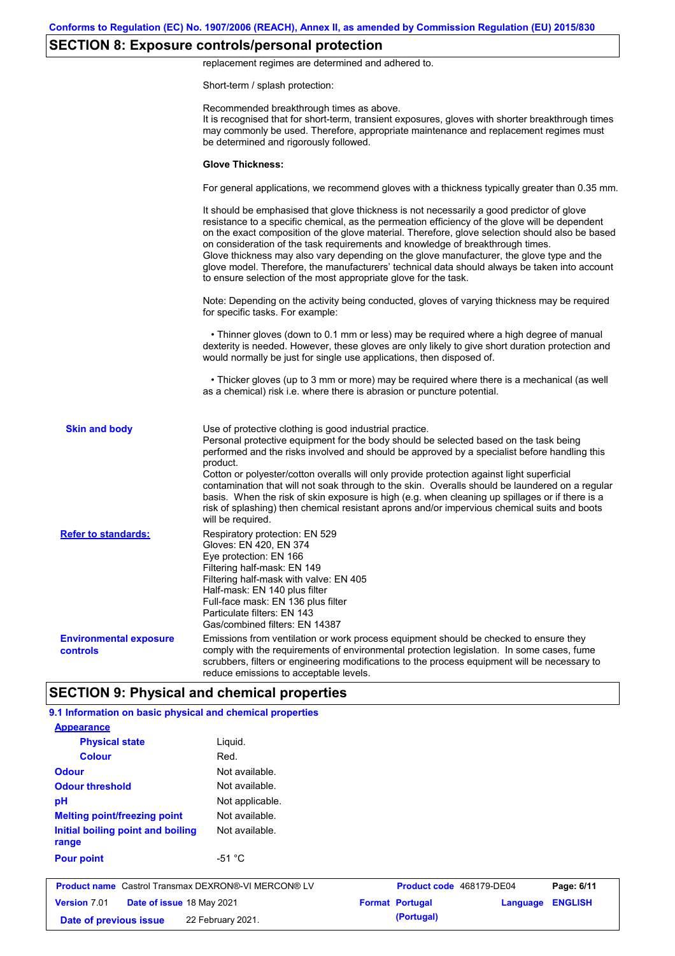## **SECTION 8: Exposure controls/personal protection**

replacement regimes are determined and adhered to.

Short-term / splash protection:

|                                                           | Recommended breakthrough times as above.<br>It is recognised that for short-term, transient exposures, gloves with shorter breakthrough times<br>may commonly be used. Therefore, appropriate maintenance and replacement regimes must<br>be determined and rigorously followed.                                                                                                                                                                                                                                                                                                                                                                                                      |
|-----------------------------------------------------------|---------------------------------------------------------------------------------------------------------------------------------------------------------------------------------------------------------------------------------------------------------------------------------------------------------------------------------------------------------------------------------------------------------------------------------------------------------------------------------------------------------------------------------------------------------------------------------------------------------------------------------------------------------------------------------------|
|                                                           | <b>Glove Thickness:</b>                                                                                                                                                                                                                                                                                                                                                                                                                                                                                                                                                                                                                                                               |
|                                                           | For general applications, we recommend gloves with a thickness typically greater than 0.35 mm.                                                                                                                                                                                                                                                                                                                                                                                                                                                                                                                                                                                        |
|                                                           | It should be emphasised that glove thickness is not necessarily a good predictor of glove<br>resistance to a specific chemical, as the permeation efficiency of the glove will be dependent<br>on the exact composition of the glove material. Therefore, glove selection should also be based<br>on consideration of the task requirements and knowledge of breakthrough times.<br>Glove thickness may also vary depending on the glove manufacturer, the glove type and the<br>glove model. Therefore, the manufacturers' technical data should always be taken into account<br>to ensure selection of the most appropriate glove for the task.                                     |
|                                                           | Note: Depending on the activity being conducted, gloves of varying thickness may be required<br>for specific tasks. For example:                                                                                                                                                                                                                                                                                                                                                                                                                                                                                                                                                      |
|                                                           | • Thinner gloves (down to 0.1 mm or less) may be required where a high degree of manual<br>dexterity is needed. However, these gloves are only likely to give short duration protection and<br>would normally be just for single use applications, then disposed of.                                                                                                                                                                                                                                                                                                                                                                                                                  |
|                                                           | • Thicker gloves (up to 3 mm or more) may be required where there is a mechanical (as well<br>as a chemical) risk i.e. where there is abrasion or puncture potential.                                                                                                                                                                                                                                                                                                                                                                                                                                                                                                                 |
| <b>Skin and body</b>                                      | Use of protective clothing is good industrial practice.<br>Personal protective equipment for the body should be selected based on the task being<br>performed and the risks involved and should be approved by a specialist before handling this<br>product.<br>Cotton or polyester/cotton overalls will only provide protection against light superficial<br>contamination that will not soak through to the skin. Overalls should be laundered on a regular<br>basis. When the risk of skin exposure is high (e.g. when cleaning up spillages or if there is a<br>risk of splashing) then chemical resistant aprons and/or impervious chemical suits and boots<br>will be required. |
| <b>Refer to standards:</b>                                | Respiratory protection: EN 529<br>Gloves: EN 420, EN 374<br>Eye protection: EN 166<br>Filtering half-mask: EN 149<br>Filtering half-mask with valve: EN 405<br>Half-mask: EN 140 plus filter<br>Full-face mask: EN 136 plus filter<br>Particulate filters: EN 143<br>Gas/combined filters: EN 14387                                                                                                                                                                                                                                                                                                                                                                                   |
| <b>Environmental exposure</b><br>controls                 | Emissions from ventilation or work process equipment should be checked to ensure they<br>comply with the requirements of environmental protection legislation. In some cases, fume<br>scrubbers, filters or engineering modifications to the process equipment will be necessary to<br>reduce emissions to acceptable levels.                                                                                                                                                                                                                                                                                                                                                         |
|                                                           | <b>SECTION 9: Physical and chemical properties</b>                                                                                                                                                                                                                                                                                                                                                                                                                                                                                                                                                                                                                                    |
| 9.1 Information on basic physical and chemical properties |                                                                                                                                                                                                                                                                                                                                                                                                                                                                                                                                                                                                                                                                                       |

| <b>Appearance</b>                                          |                 |  |                          |          |                |
|------------------------------------------------------------|-----------------|--|--------------------------|----------|----------------|
| <b>Physical state</b>                                      | Liguid.         |  |                          |          |                |
| <b>Colour</b>                                              | Red.            |  |                          |          |                |
| <b>Odour</b>                                               | Not available.  |  |                          |          |                |
| <b>Odour threshold</b>                                     | Not available.  |  |                          |          |                |
| pH                                                         | Not applicable. |  |                          |          |                |
| <b>Melting point/freezing point</b>                        | Not available.  |  |                          |          |                |
| Initial boiling point and boiling<br>range                 | Not available.  |  |                          |          |                |
| <b>Pour point</b>                                          | $-51 °C$        |  |                          |          |                |
| <b>Product name</b> Castrol Transmax DEXRON®-VI MERCON® LV |                 |  | Product code 468179-DE04 |          | Page: 6/11     |
| <b>Version 7.01</b><br>Date of issue 18 May 2021           |                 |  | <b>Format Portugal</b>   | Language | <b>ENGLISH</b> |
| 22 February 2021.<br>Date of previous issue                |                 |  | (Portugal)               |          |                |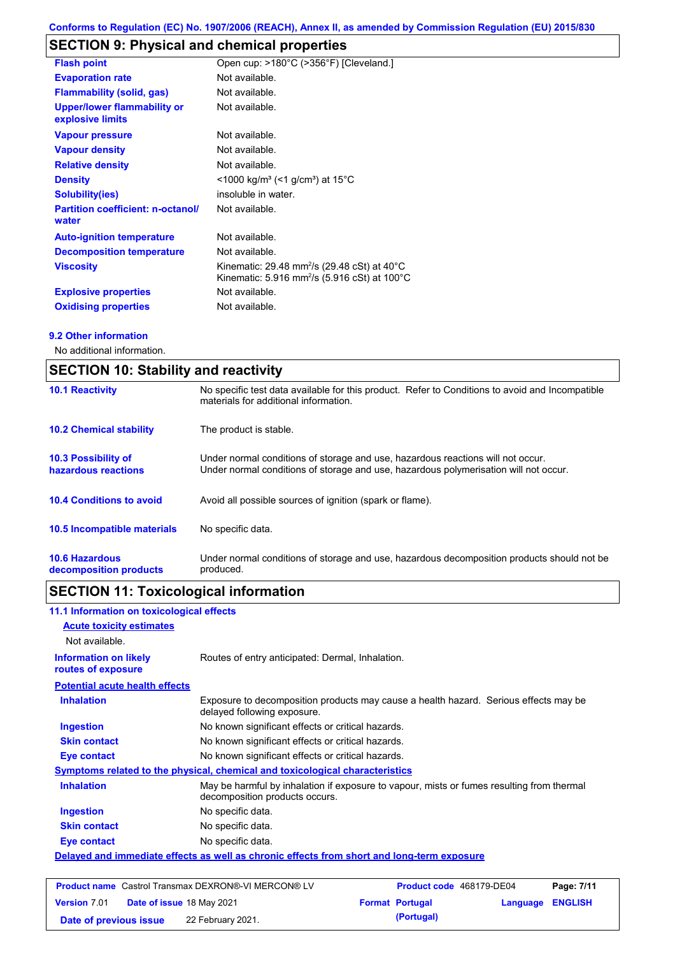## **SECTION 9: Physical and chemical properties**

| <b>Flash point</b>                                     | Open cup: >180°C (>356°F) [Cleveland.]                                                                                                    |
|--------------------------------------------------------|-------------------------------------------------------------------------------------------------------------------------------------------|
| <b>Evaporation rate</b>                                | Not available.                                                                                                                            |
| <b>Flammability (solid, gas)</b>                       | Not available.                                                                                                                            |
| <b>Upper/lower flammability or</b><br>explosive limits | Not available.                                                                                                                            |
| <b>Vapour pressure</b>                                 | Not available.                                                                                                                            |
| <b>Vapour density</b>                                  | Not available.                                                                                                                            |
| <b>Relative density</b>                                | Not available.                                                                                                                            |
| <b>Density</b>                                         | $\leq$ 1000 kg/m <sup>3</sup> (<1 g/cm <sup>3</sup> ) at 15 <sup>°</sup> C                                                                |
| <b>Solubility(ies)</b>                                 | insoluble in water.                                                                                                                       |
| <b>Partition coefficient: n-octanol/</b><br>water      | Not available.                                                                                                                            |
| <b>Auto-ignition temperature</b>                       | Not available.                                                                                                                            |
| <b>Decomposition temperature</b>                       | Not available.                                                                                                                            |
| <b>Viscosity</b>                                       | Kinematic: 29.48 mm <sup>2</sup> /s (29.48 cSt) at 40 $^{\circ}$ C<br>Kinematic: 5.916 mm <sup>2</sup> /s (5.916 cSt) at 100 $^{\circ}$ C |
| <b>Explosive properties</b>                            | Not available.                                                                                                                            |
| <b>Oxidising properties</b>                            | Not available.                                                                                                                            |

#### **9.2 Other information**

No additional information.

| <b>SECTION 10: Stability and reactivity</b>       |                                                                                                                                                                         |  |  |
|---------------------------------------------------|-------------------------------------------------------------------------------------------------------------------------------------------------------------------------|--|--|
| <b>10.1 Reactivity</b>                            | No specific test data available for this product. Refer to Conditions to avoid and Incompatible<br>materials for additional information.                                |  |  |
| <b>10.2 Chemical stability</b>                    | The product is stable.                                                                                                                                                  |  |  |
| <b>10.3 Possibility of</b><br>hazardous reactions | Under normal conditions of storage and use, hazardous reactions will not occur.<br>Under normal conditions of storage and use, hazardous polymerisation will not occur. |  |  |
| <b>10.4 Conditions to avoid</b>                   | Avoid all possible sources of ignition (spark or flame).                                                                                                                |  |  |
| 10.5 Incompatible materials                       | No specific data.                                                                                                                                                       |  |  |
| <b>10.6 Hazardous</b><br>decomposition products   | Under normal conditions of storage and use, hazardous decomposition products should not be<br>produced.                                                                 |  |  |

# **SECTION 11: Toxicological information**

| 11.1 Information on toxicological effects          |                                                                                                                             |
|----------------------------------------------------|-----------------------------------------------------------------------------------------------------------------------------|
| <b>Acute toxicity estimates</b>                    |                                                                                                                             |
| Not available.                                     |                                                                                                                             |
| <b>Information on likely</b><br>routes of exposure | Routes of entry anticipated: Dermal, Inhalation.                                                                            |
| <b>Potential acute health effects</b>              |                                                                                                                             |
| <b>Inhalation</b>                                  | Exposure to decomposition products may cause a health hazard. Serious effects may be<br>delayed following exposure.         |
| <b>Ingestion</b>                                   | No known significant effects or critical hazards.                                                                           |
| <b>Skin contact</b>                                | No known significant effects or critical hazards.                                                                           |
| Eye contact                                        | No known significant effects or critical hazards.                                                                           |
|                                                    | Symptoms related to the physical, chemical and toxicological characteristics                                                |
| <b>Inhalation</b>                                  | May be harmful by inhalation if exposure to vapour, mists or fumes resulting from thermal<br>decomposition products occurs. |
| <b>Ingestion</b>                                   | No specific data.                                                                                                           |
| <b>Skin contact</b>                                | No specific data.                                                                                                           |
| Eye contact                                        | No specific data.                                                                                                           |
|                                                    | Delayed and immediate effects as well as chronic effects from short and long-term exposure                                  |
|                                                    |                                                                                                                             |
|                                                    |                                                                                                                             |

|                        | <b>Product name</b> Castrol Transmax DEXRON®-VI MERCON® LV | Product code 468179-DE04 |                         | Page: 7/11 |
|------------------------|------------------------------------------------------------|--------------------------|-------------------------|------------|
| <b>Version 7.01</b>    | Date of issue 18 May 2021                                  | <b>Format Portugal</b>   | <b>Language ENGLISH</b> |            |
| Date of previous issue | 22 February 2021.                                          | (Portugal)               |                         |            |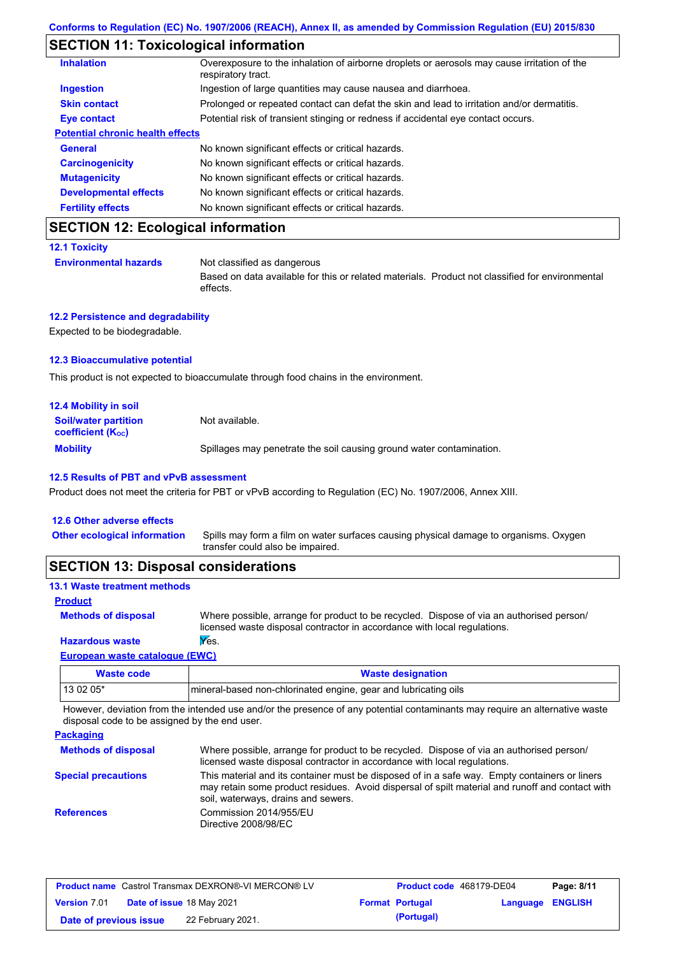### **SECTION 11: Toxicological information**

| <b>Inhalation</b>                       | Overexposure to the inhalation of airborne droplets or aerosols may cause irritation of the<br>respiratory tract. |
|-----------------------------------------|-------------------------------------------------------------------------------------------------------------------|
| <b>Ingestion</b>                        | Ingestion of large quantities may cause nausea and diarrhoea.                                                     |
| <b>Skin contact</b>                     | Prolonged or repeated contact can defat the skin and lead to irritation and/or dermatitis.                        |
| Eye contact                             | Potential risk of transient stinging or redness if accidental eye contact occurs.                                 |
| <b>Potential chronic health effects</b> |                                                                                                                   |
| <b>General</b>                          | No known significant effects or critical hazards.                                                                 |
| <b>Carcinogenicity</b>                  | No known significant effects or critical hazards.                                                                 |
| <b>Mutagenicity</b>                     | No known significant effects or critical hazards.                                                                 |
| <b>Developmental effects</b>            | No known significant effects or critical hazards.                                                                 |
| <b>Fertility effects</b>                | No known significant effects or critical hazards.                                                                 |

## **SECTION 12: Ecological information**

```
12.1 Toxicity
```
**Environmental hazards** Not classified as dangerous

Based on data available for this or related materials. Product not classified for environmental effects.

### **12.2 Persistence and degradability**

Expected to be biodegradable.

#### **12.3 Bioaccumulative potential**

This product is not expected to bioaccumulate through food chains in the environment.

| <b>12.4 Mobility in soil</b>                                  |                                                                      |
|---------------------------------------------------------------|----------------------------------------------------------------------|
| <b>Soil/water partition</b><br>coefficient (K <sub>oc</sub> ) | Not available.                                                       |
| <b>Mobility</b>                                               | Spillages may penetrate the soil causing ground water contamination. |

#### **12.5 Results of PBT and vPvB assessment**

Product does not meet the criteria for PBT or vPvB according to Regulation (EC) No. 1907/2006, Annex XIII.

| 12.6 Other adverse effects          |                                                                                                                           |
|-------------------------------------|---------------------------------------------------------------------------------------------------------------------------|
| <b>Other ecological information</b> | Spills may form a film on water surfaces causing physical damage to organisms. Oxygen<br>transfer could also be impaired. |
|                                     |                                                                                                                           |

### **SECTION 13: Disposal considerations**

| <b>13.1 Waste treatment methods</b>                                                                                                                                                                                            |                                                                                                                                                                      |
|--------------------------------------------------------------------------------------------------------------------------------------------------------------------------------------------------------------------------------|----------------------------------------------------------------------------------------------------------------------------------------------------------------------|
| <b>Product</b>                                                                                                                                                                                                                 |                                                                                                                                                                      |
| <b>Methods of disposal</b>                                                                                                                                                                                                     | Where possible, arrange for product to be recycled. Dispose of via an authorised person/<br>licensed waste disposal contractor in accordance with local regulations. |
| <b>Hazardous waste</b>                                                                                                                                                                                                         | Yes.                                                                                                                                                                 |
| European and an annual and a state of the second of the second of the second of the second of the second of the second of the second of the second of the second of the second of the second of the second of the second of th |                                                                                                                                                                      |

#### **European waste catalogue (EWC)**

| Waste code | <b>Waste designation</b>                                        |
|------------|-----------------------------------------------------------------|
| $130205*$  | mineral-based non-chlorinated engine, gear and lubricating oils |

However, deviation from the intended use and/or the presence of any potential contaminants may require an alternative waste disposal code to be assigned by the end user.

| <b>Packaging</b>           |                                                                                                                                                                                                                                         |
|----------------------------|-----------------------------------------------------------------------------------------------------------------------------------------------------------------------------------------------------------------------------------------|
| <b>Methods of disposal</b> | Where possible, arrange for product to be recycled. Dispose of via an authorised person/<br>licensed waste disposal contractor in accordance with local regulations.                                                                    |
| <b>Special precautions</b> | This material and its container must be disposed of in a safe way. Empty containers or liners<br>may retain some product residues. Avoid dispersal of spilt material and runoff and contact with<br>soil, waterways, drains and sewers. |
| <b>References</b>          | Commission 2014/955/EU<br>Directive 2008/98/EC                                                                                                                                                                                          |

| <b>Product name</b> Castrol Transmax DEXRON®-VI MERCON® LV |  | <b>Product code</b> 468179-DE04 |  | Page: 8/11             |                         |  |
|------------------------------------------------------------|--|---------------------------------|--|------------------------|-------------------------|--|
| <b>Version 7.01</b>                                        |  | Date of issue 18 May 2021       |  | <b>Format Portugal</b> | <b>Language ENGLISH</b> |  |
| Date of previous issue                                     |  | 22 February 2021.               |  | (Portugal)             |                         |  |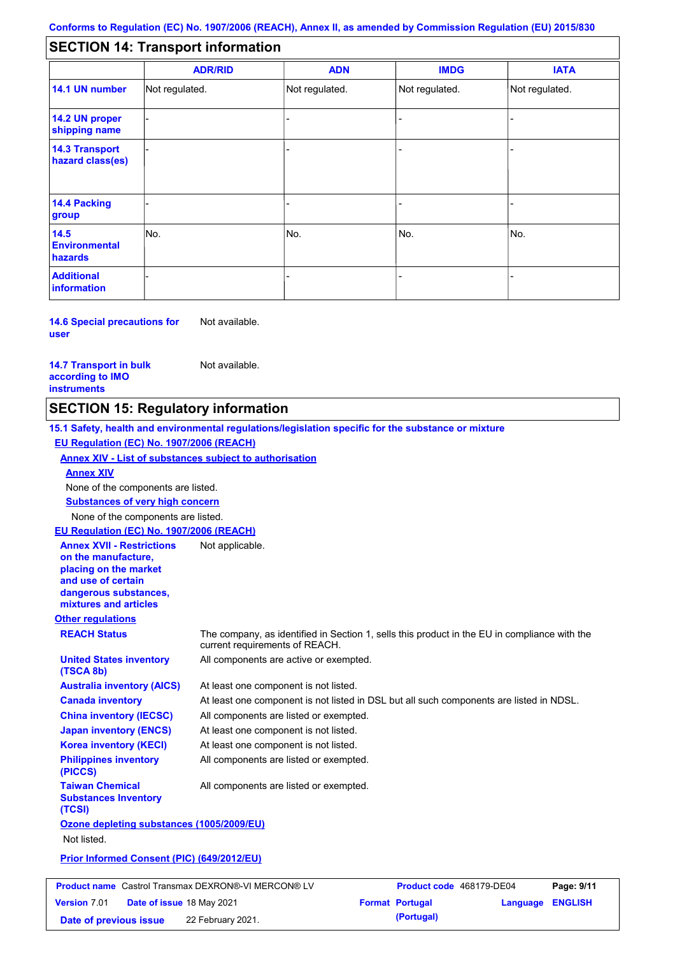#### - - - - - - - - - Not regulated. Not regulated. Not regulated. - - - **SECTION 14: Transport information ADR/RID IMDG IATA 14.1 UN number 14.2 UN proper shipping name 14.3 Transport hazard class(es) 14.4 Packing group ADN Additional information 14.5 Environmental hazards** No. 1988 | No. 1989 | No. 1989 | No. 1989 | No. 1989 | No. 1989 | No. 1989 | No. 1989 | No. 1989 | No. 1989 | Not regulated. - -<br>No. - -

**14.6 Special precautions for user** Not available.

**14.7 Transport in bulk according to IMO instruments**

**Version** 7.01

Not available.

### **SECTION 15: Regulatory information**

**Other regulations REACH Status** The company, as identified in Section 1, sells this product in the EU in compliance with the current requirements of REACH. **15.1 Safety, health and environmental regulations/legislation specific for the substance or mixture EU Regulation (EC) No. 1907/2006 (REACH) Annex XIV - List of substances subject to authorisation Substances of very high concern** None of the components are listed. At least one component is not listed. At least one component is not listed in DSL but all such components are listed in NDSL. All components are listed or exempted. At least one component is not listed. All components are active or exempted. At least one component is not listed. All components are listed or exempted. **United States inventory (TSCA 8b) Australia inventory (AICS) Canada inventory China inventory (IECSC) Japan inventory (ENCS) Korea inventory (KECI) Philippines inventory (PICCS) Taiwan Chemical Substances Inventory (TCSI)** All components are listed or exempted. **Ozone depleting substances (1005/2009/EU)** Not listed. **Prior Informed Consent (PIC) (649/2012/EU)** None of the components are listed. **Annex XIV EU Regulation (EC) No. 1907/2006 (REACH) Annex XVII - Restrictions on the manufacture, placing on the market and use of certain dangerous substances, mixtures and articles** Not applicable. **Product name** Castrol Transmax DEXRON®-VI MERCON® LV **Product code** 468179-DE04 **Page: 9/11** |

**Date of issue** 18 May 2021 **Format Portugal Language ENGLISH Date of previous issue 22 February 2021. (Portugal) (Portugal)**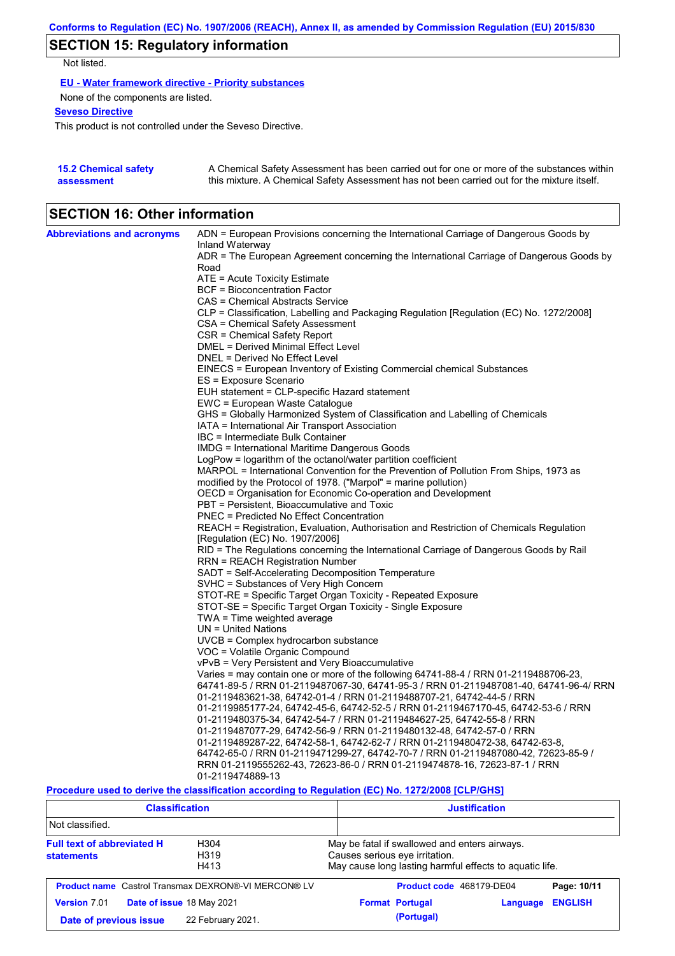## **SECTION 15: Regulatory information**

Not listed.

**EU - Water framework directive - Priority substances**

None of the components are listed.

**Seveso Directive**

This product is not controlled under the Seveso Directive.

| <b>15.2 Chemical safety</b> | A Chemical Safety Assessment has been carried out for one or more of the substances within  |
|-----------------------------|---------------------------------------------------------------------------------------------|
| assessment                  | this mixture. A Chemical Safety Assessment has not been carried out for the mixture itself. |

## **SECTION 16: Other information**

| <b>Abbreviations and acronyms</b> | ADN = European Provisions concerning the International Carriage of Dangerous Goods by                                      |
|-----------------------------------|----------------------------------------------------------------------------------------------------------------------------|
|                                   | Inland Waterway<br>ADR = The European Agreement concerning the International Carriage of Dangerous Goods by                |
|                                   | Road                                                                                                                       |
|                                   | ATE = Acute Toxicity Estimate                                                                                              |
|                                   | <b>BCF</b> = Bioconcentration Factor                                                                                       |
|                                   | CAS = Chemical Abstracts Service                                                                                           |
|                                   | CLP = Classification, Labelling and Packaging Regulation [Regulation (EC) No. 1272/2008]                                   |
|                                   | CSA = Chemical Safety Assessment                                                                                           |
|                                   | CSR = Chemical Safety Report                                                                                               |
|                                   | DMEL = Derived Minimal Effect Level                                                                                        |
|                                   | DNEL = Derived No Effect Level                                                                                             |
|                                   | EINECS = European Inventory of Existing Commercial chemical Substances                                                     |
|                                   | ES = Exposure Scenario                                                                                                     |
|                                   | EUH statement = CLP-specific Hazard statement                                                                              |
|                                   | EWC = European Waste Catalogue                                                                                             |
|                                   | GHS = Globally Harmonized System of Classification and Labelling of Chemicals                                              |
|                                   | IATA = International Air Transport Association                                                                             |
|                                   | IBC = Intermediate Bulk Container                                                                                          |
|                                   | <b>IMDG = International Maritime Dangerous Goods</b>                                                                       |
|                                   | LogPow = logarithm of the octanol/water partition coefficient                                                              |
|                                   | MARPOL = International Convention for the Prevention of Pollution From Ships, 1973 as                                      |
|                                   | modified by the Protocol of 1978. ("Marpol" = marine pollution)                                                            |
|                                   | OECD = Organisation for Economic Co-operation and Development                                                              |
|                                   | PBT = Persistent, Bioaccumulative and Toxic                                                                                |
|                                   | PNEC = Predicted No Effect Concentration                                                                                   |
|                                   | REACH = Registration, Evaluation, Authorisation and Restriction of Chemicals Regulation                                    |
|                                   | [Regulation (EC) No. 1907/2006]                                                                                            |
|                                   | RID = The Regulations concerning the International Carriage of Dangerous Goods by Rail                                     |
|                                   | RRN = REACH Registration Number                                                                                            |
|                                   | SADT = Self-Accelerating Decomposition Temperature                                                                         |
|                                   | SVHC = Substances of Very High Concern                                                                                     |
|                                   | STOT-RE = Specific Target Organ Toxicity - Repeated Exposure<br>STOT-SE = Specific Target Organ Toxicity - Single Exposure |
|                                   | TWA = Time weighted average                                                                                                |
|                                   | $UN = United Nations$                                                                                                      |
|                                   | $UVCB = Complex\;hydrocarbon\; substance$                                                                                  |
|                                   | VOC = Volatile Organic Compound                                                                                            |
|                                   | vPvB = Very Persistent and Very Bioaccumulative                                                                            |
|                                   | Varies = may contain one or more of the following 64741-88-4 / RRN 01-2119488706-23,                                       |
|                                   | 64741-89-5 / RRN 01-2119487067-30, 64741-95-3 / RRN 01-2119487081-40, 64741-96-4/ RRN                                      |
|                                   | 01-2119483621-38, 64742-01-4 / RRN 01-2119488707-21, 64742-44-5 / RRN                                                      |
|                                   | 01-2119985177-24, 64742-45-6, 64742-52-5 / RRN 01-2119467170-45, 64742-53-6 / RRN                                          |
|                                   | 01-2119480375-34, 64742-54-7 / RRN 01-2119484627-25, 64742-55-8 / RRN                                                      |
|                                   | 01-2119487077-29, 64742-56-9 / RRN 01-2119480132-48, 64742-57-0 / RRN                                                      |
|                                   | 01-2119489287-22, 64742-58-1, 64742-62-7 / RRN 01-2119480472-38, 64742-63-8,                                               |
|                                   | 64742-65-0 / RRN 01-2119471299-27, 64742-70-7 / RRN 01-2119487080-42, 72623-85-9 /                                         |
|                                   | RRN 01-2119555262-43, 72623-86-0 / RRN 01-2119474878-16, 72623-87-1 / RRN                                                  |
|                                   | 01-2119474889-13                                                                                                           |
|                                   | Description travel to device the closelfication concedive to Deputation (EO) No. 4979/9000 [O] D/OU01                      |

**Procedure used to derive the classification according to Regulation (EC) No. 1272/2008 [CLP/GHS]**

| <b>Classification</b>                                                                      |                                                            |                                                                                                                                            | <b>Justification</b>     |          |                |
|--------------------------------------------------------------------------------------------|------------------------------------------------------------|--------------------------------------------------------------------------------------------------------------------------------------------|--------------------------|----------|----------------|
| Not classified.                                                                            |                                                            |                                                                                                                                            |                          |          |                |
| <b>Full text of abbreviated H</b><br>H <sub>304</sub><br>H319<br><b>statements</b><br>H413 |                                                            | May be fatal if swallowed and enters airways.<br>Causes serious eye irritation.<br>May cause long lasting harmful effects to aquatic life. |                          |          |                |
|                                                                                            | <b>Product name</b> Castrol Transmax DEXRON®-VI MERCON® LV |                                                                                                                                            | Product code 468179-DE04 |          | Page: 10/11    |
| <b>Version 7.01</b>                                                                        | Date of issue 18 May 2021                                  |                                                                                                                                            | <b>Format Portugal</b>   | Language | <b>ENGLISH</b> |
| Date of previous issue                                                                     | 22 February 2021.                                          |                                                                                                                                            | (Portugal)               |          |                |